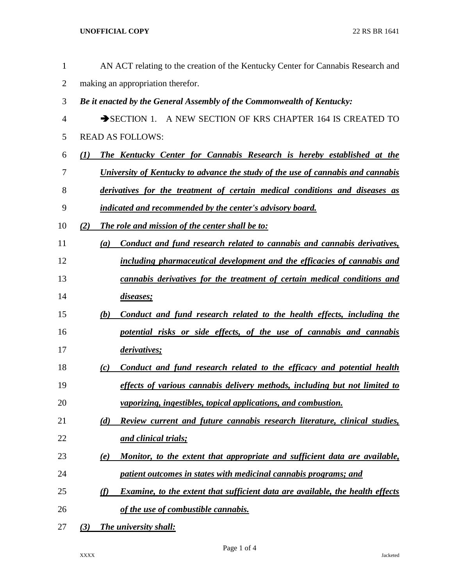## **UNOFFICIAL COPY** 22 RS BR 1641

| $\mathbf{1}$ | AN ACT relating to the creation of the Kentucky Center for Cannabis Research and            |
|--------------|---------------------------------------------------------------------------------------------|
| 2            | making an appropriation therefor.                                                           |
| 3            | Be it enacted by the General Assembly of the Commonwealth of Kentucky:                      |
| 4            | SECTION 1. A NEW SECTION OF KRS CHAPTER 164 IS CREATED TO                                   |
| 5            | <b>READ AS FOLLOWS:</b>                                                                     |
| 6            | The Kentucky Center for Cannabis Research is hereby established at the<br>(I)               |
| 7            | University of Kentucky to advance the study of the use of cannabis and cannabis             |
| 8            | derivatives for the treatment of certain medical conditions and diseases as                 |
| 9            | indicated and recommended by the center's advisory board.                                   |
| 10           | The role and mission of the center shall be to:<br>(2)                                      |
| 11           | Conduct and fund research related to cannabis and cannabis derivatives,<br>(a)              |
| 12           | including pharmaceutical development and the efficacies of cannabis and                     |
| 13           | cannabis derivatives for the treatment of certain medical conditions and                    |
| 14           | diseases;                                                                                   |
| 15           | Conduct and fund research related to the health effects, including the<br>(b)               |
| 16           | potential risks or side effects, of the use of cannabis and cannabis                        |
| 17           | derivatives;                                                                                |
| 18           | Conduct and fund research related to the efficacy and potential health<br>$\left( c\right)$ |
| 19           | effects of various cannabis delivery methods, including but not limited to                  |
| 20           | vaporizing, ingestibles, topical applications, and combustion.                              |
| 21           | Review current and future cannabis research literature, clinical studies,<br>(d)            |
| 22           | and clinical trials;                                                                        |
| 23           | Monitor, to the extent that appropriate and sufficient data are available,<br>(e)           |
| 24           | patient outcomes in states with medicinal cannabis programs; and                            |
| 25           | Examine, to the extent that sufficient data are available, the health effects<br>(f)        |
| 26           | of the use of combustible cannabis.                                                         |
| 27           | The university shall:<br>(3)                                                                |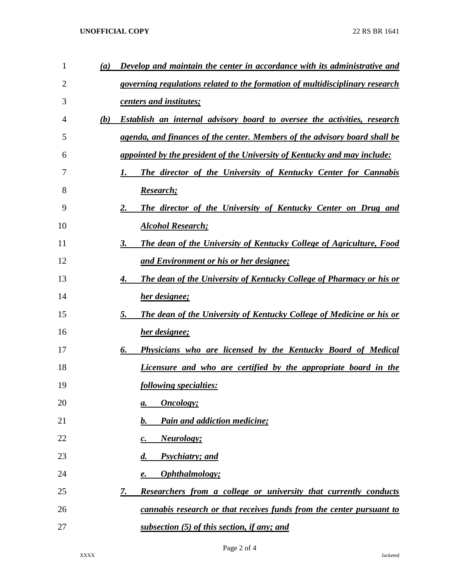## **UNOFFICIAL COPY** 22 RS BR 1641

| $\mathbf{1}$ | (a) | Develop and maintain the center in accordance with its administrative and         |
|--------------|-----|-----------------------------------------------------------------------------------|
| 2            |     | governing regulations related to the formation of multidisciplinary research      |
| 3            |     | <u>centers and institutes;</u>                                                    |
| 4            | (b) | <b>Establish an internal advisory board to oversee the activities, research</b>   |
| 5            |     | agenda, and finances of the center. Members of the advisory board shall be        |
| 6            |     | <i>appointed by the president of the University of Kentucky and may include:</i>  |
| 7            |     | The director of the University of Kentucky Center for Cannabis<br>1.              |
| 8            |     | <b>Research</b> ;                                                                 |
| 9            |     | The director of the University of Kentucky Center on Drug and<br>2.               |
| 10           |     | <b>Alcohol Research;</b>                                                          |
| 11           |     | The dean of the University of Kentucky College of Agriculture, Food<br>3.         |
| 12           |     | <u>and Environment or his or her designee;</u>                                    |
| 13           |     | <b>The dean of the University of Kentucky College of Pharmacy or his or</b><br>4. |
| 14           |     | her designee;                                                                     |
| 15           |     | 5.<br><b>The dean of the University of Kentucky College of Medicine or his or</b> |
| 16           |     | her designee;                                                                     |
| 17           |     | 6.<br>Physicians who are licensed by the Kentucky Board of Medical                |
| 18           |     | Licensure and who are certified by the appropriate board in the                   |
| 19           |     | following specialties:                                                            |
| 20           |     | Oncology;<br>а.                                                                   |
| 21           |     | <b>Pain and addiction medicine;</b><br>b.                                         |
| 22           |     | <b>Neurology</b> ;<br>c.                                                          |
| 23           |     | <b>Psychiatry</b> ; and<br>$\boldsymbol{d}$ .                                     |
| 24           |     | Ophthalmology;<br>е.                                                              |
| 25           |     | Researchers from a college or university that currently conducts<br><u>7.</u>     |
| 26           |     | cannabis research or that receives funds from the center pursuant to              |
| 27           |     | subsection (5) of this section, if any; and                                       |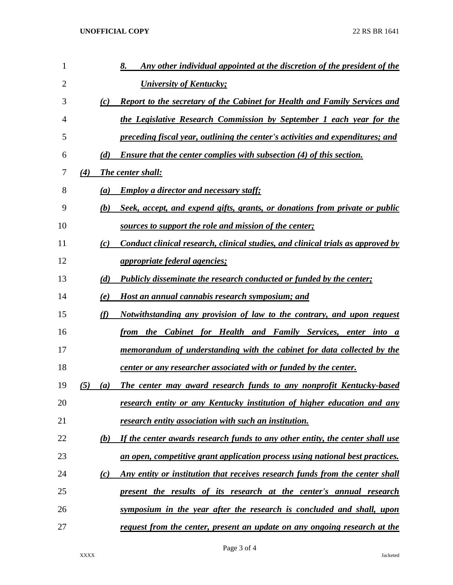| 1              |     |     | 8.<br>Any other individual appointed at the discretion of the president of the   |
|----------------|-----|-----|----------------------------------------------------------------------------------|
| $\overline{2}$ |     |     | <b>University of Kentucky;</b>                                                   |
| 3              |     | (c) | <b>Report to the secretary of the Cabinet for Health and Family Services and</b> |
| 4              |     |     | the Legislative Research Commission by September 1 each year for the             |
| 5              |     |     | preceding fiscal year, outlining the center's activities and expenditures; and   |
| 6              |     | (d) | <b>Ensure that the center complies with subsection (4) of this section.</b>      |
| 7              | (4) |     | <b>The center shall:</b>                                                         |
| 8              |     | (a) | <b>Employ a director and necessary staff;</b>                                    |
| 9              |     | (b) | Seek, accept, and expend gifts, grants, or donations from private or public      |
| 10             |     |     | sources to support the role and mission of the center;                           |
| 11             |     | (c) | Conduct clinical research, clinical studies, and clinical trials as approved by  |
| 12             |     |     | <i>appropriate federal agencies;</i>                                             |
| 13             |     | (d) | Publicly disseminate the research conducted or funded by the center;             |
| 14             |     | (e) | Host an annual cannabis research symposium; and                                  |
| 15             |     | (f) | Notwithstanding any provision of law to the contrary, and upon request           |
| 16             |     |     | from the Cabinet for Health and Family Services, enter into<br>$\boldsymbol{a}$  |
| 17             |     |     | memorandum of understanding with the cabinet for data collected by the           |
| 18             |     |     | center or any researcher associated with or funded by the center.                |
| 19             | (5) | (a) | The center may award research funds to any nonprofit Kentucky-based              |
| 20             |     |     | research entity or any Kentucky institution of higher education and any          |
| 21             |     |     | research entity association with such an institution.                            |
| 22             |     | (b) | If the center awards research funds to any other entity, the center shall use    |
| 23             |     |     | an open, competitive grant application process using national best practices.    |
| 24             |     | (c) | Any entity or institution that receives research funds from the center shall     |
| 25             |     |     | present the results of its research at the center's annual research              |
| 26             |     |     | symposium in the year after the research is concluded and shall, upon            |
| 27             |     |     | request from the center, present an update on any ongoing research at the        |